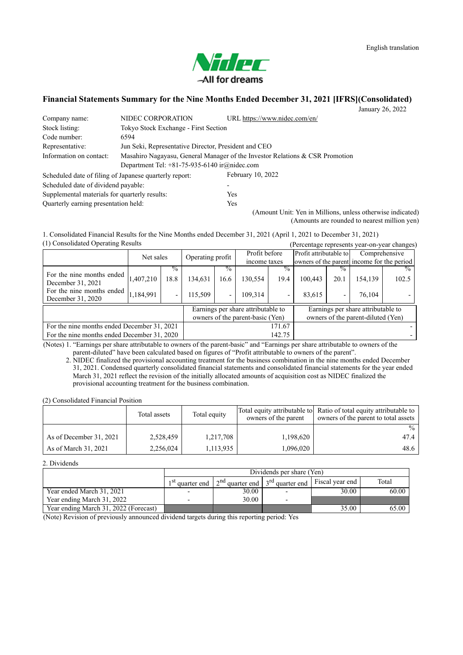

# **Financial Statements Summary for the Nine Months Ended December 31, 2021 [IFRS](Consolidated)**

January 26, 2022

| Company name:                                          | NIDEC CORPORATION                                                            | URL https://www.nidec.com/en/ |  |  |
|--------------------------------------------------------|------------------------------------------------------------------------------|-------------------------------|--|--|
| Stock listing:                                         | Tokyo Stock Exchange - First Section                                         |                               |  |  |
| Code number:                                           | 6594                                                                         |                               |  |  |
| Representative:                                        | Jun Seki, Representative Director, President and CEO                         |                               |  |  |
| Information on contact:                                | Masahiro Nagayasu, General Manager of the Investor Relations & CSR Promotion |                               |  |  |
|                                                        | Department Tel: $+81-75-935-6140$ ir $@nidec.com$                            |                               |  |  |
| Scheduled date of filing of Japanese quarterly report: |                                                                              | February 10, 2022             |  |  |
| Scheduled date of dividend payable:                    |                                                                              |                               |  |  |
| Supplemental materials for quarterly results:          |                                                                              | <b>Yes</b>                    |  |  |
| Ouarterly earning presentation held:                   |                                                                              | Yes                           |  |  |

(Amount Unit: Yen in Millions, unless otherwise indicated) (Amounts are rounded to nearest million yen)

(1) Consolidated Operating Results (Percentage represents year-on-year changes) 1. Consolidated Financial Results for the Nine Months ended December 31, 2021 (April 1, 2021 to December 31, 2021)

| $\mu$ , compondator operating research         |           |               |         |                          |                                                                        | $\alpha$ creditage represents year-on-year changes) |                                            |                          |                                                                          |       |
|------------------------------------------------|-----------|---------------|---------|--------------------------|------------------------------------------------------------------------|-----------------------------------------------------|--------------------------------------------|--------------------------|--------------------------------------------------------------------------|-------|
| Net sales                                      |           |               |         |                          | Profit before                                                          |                                                     | Profit attributable to                     |                          | Comprehensive                                                            |       |
|                                                |           |               |         | Operating profit         |                                                                        | income taxes                                        | owners of the parent income for the period |                          |                                                                          |       |
|                                                |           | $\frac{0}{6}$ |         | $\%$                     |                                                                        | $\%$                                                |                                            |                          |                                                                          |       |
| For the nine months ended<br>December 31, 2021 | 1,407,210 | 18.8          | 134,631 | 16.6                     | 130.554                                                                | 19.4                                                | 100.443                                    | 20.1                     | 154.139                                                                  | 102.5 |
| For the nine months ended<br>December 31, 2020 | 1,184,991 |               | 115,509 | $\overline{\phantom{0}}$ | 109.314                                                                |                                                     | 83,615                                     | $\overline{\phantom{0}}$ | 76,104                                                                   |       |
|                                                |           |               |         |                          | Earnings per share attributable to<br>owners of the parent-basic (Yen) |                                                     |                                            |                          | Earnings per share attributable to<br>owners of the parent-diluted (Yen) |       |
| For the nine months ended December 31, 2021    |           |               |         | 171.67                   |                                                                        |                                                     |                                            |                          |                                                                          |       |
| For the nine months ended December 31, 2020    |           |               |         |                          |                                                                        | 142.75                                              |                                            |                          |                                                                          |       |

(Notes) 1. "Earnings per share attributable to owners of the parent-basic" and "Earnings per share attributable to owners of the parent-diluted" have been calculated based on figures of "Profit attributable to owners of the parent".

2. NIDEC finalized the provisional accounting treatment for the business combination in the nine months ended December 31, 2021. Condensed quarterly consolidated financial statements and consolidated financial statements for the year ended March 31, 2021 reflect the revision of the initially allocated amounts of acquisition cost as NIDEC finalized the provisional accounting treatment for the business combination.

(2) Consolidated Financial Position

|                         | Total assets | Total equity | owners of the parent | Total equity attributable to Ratio of total equity attributable to<br>owners of the parent to total assets |
|-------------------------|--------------|--------------|----------------------|------------------------------------------------------------------------------------------------------------|
|                         |              |              |                      | $\%$                                                                                                       |
| As of December 31, 2021 | 2,528,459    | 1,217,708    | 1,198,620            | 47.4                                                                                                       |
| As of March 31, 2021    | 2,256,024    | 1,113,935    | 1,096,020            | 48.6                                                                                                       |

2. Dividends

|                                       | Dividends per share (Yen) |                                                 |                             |                 |       |  |  |
|---------------------------------------|---------------------------|-------------------------------------------------|-----------------------------|-----------------|-------|--|--|
|                                       | $1$ St.<br>quarter end    | $\cdot$ 1 2 <sup>nd</sup> quarter end 1 $\cdot$ | 3 <sup>rd</sup> quarter end | Fiscal year end | Total |  |  |
| Year ended March 31, 2021             |                           | 30.00                                           |                             | 30.00           | 60.00 |  |  |
| Year ending March 31, 2022            |                           | 30.00                                           |                             |                 |       |  |  |
| Year ending March 31, 2022 (Forecast) |                           |                                                 |                             | 35.00           | 65.00 |  |  |

(Note) Revision of previously announced dividend targets during this reporting period: Yes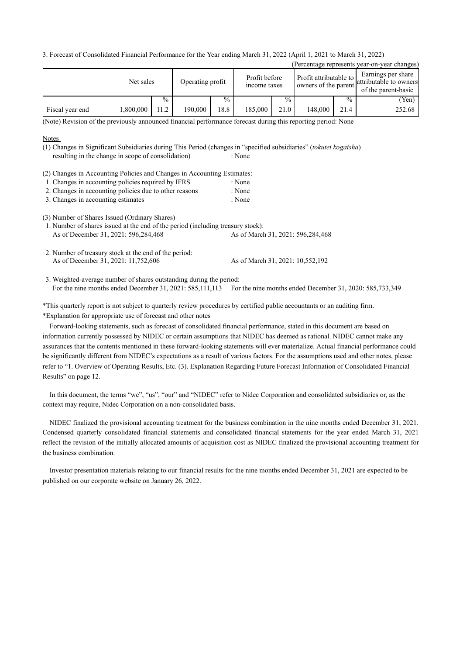3. Forecast of Consolidated Financial Performance for the Year ending March 31, 2022 (April 1, 2021 to March 31, 2022)

|                 |           |               |                  |               |                               |               |                                                |               | (Percentage represents year-on-year changes)                        |
|-----------------|-----------|---------------|------------------|---------------|-------------------------------|---------------|------------------------------------------------|---------------|---------------------------------------------------------------------|
|                 | Net sales |               | Operating profit |               | Profit before<br>income taxes |               | Profit attributable to<br>owners of the parent |               | Earnings per share<br>attributable to owners<br>of the parent-basic |
|                 |           | $\frac{0}{0}$ |                  | $\frac{0}{0}$ |                               | $\frac{0}{0}$ |                                                | $\frac{0}{0}$ | (Yen)                                                               |
| Fiscal year end | ,800,000  | 11.2          | 190.000          | 18.8          | 185,000                       | 21.0          | 148.000                                        | 21.4          | 252.68                                                              |

(Note) Revision of the previously announced financial performance forecast during this reporting period: None

## **Notes**

resulting in the change in scope of consolidation) : None (1) Changes in Significant Subsidiaries during This Period (changes in "specified subsidiaries" (*tokutei kogaisha*)

(2) Changes in Accounting Policies and Changes in Accounting Estimates:

|  |  |  | 1. Changes in accounting policies required by IFRS | : None |
|--|--|--|----------------------------------------------------|--------|
|--|--|--|----------------------------------------------------|--------|

- 2. Changes in accounting policies due to other reasons : None
- 3. Changes in accounting estimates : None

(3) Number of Shares Issued (Ordinary Shares)

As of December 31, 2021: 596,284,468 As of March 31, 2021: 596,284,468 1. Number of shares issued at the end of the period (including treasury stock):

As of December 31, 2021: 11,752,606 As of March 31, 2021: 10,552,192 2. Number of treasury stock at the end of the period:

For the nine months ended December 31, 2021: 585,111,113 For the nine months ended December 31, 2020: 585,733,349 3. Weighted-average number of shares outstanding during the period:

\*This quarterly report is not subject to quarterly review procedures by certified public accountants or an auditing firm. \*Explanation for appropriate use of forecast and other notes

Forward-looking statements, such as forecast of consolidated financial performance, stated in this document are based on information currently possessed by NIDEC or certain assumptions that NIDEC has deemed as rational. NIDEC cannot make any assurances that the contents mentioned in these forward-looking statements will ever materialize. Actual financial performance could be significantly different from NIDEC's expectations as a result of various factors. For the assumptions used and other notes, please refer to "1. Overview of Operating Results, Etc. (3). Explanation Regarding Future Forecast Information of Consolidated Financial Results" on page 12.

In this document, the terms "we", "us", "our" and "NIDEC" refer to Nidec Corporation and consolidated subsidiaries or, as the context may require, Nidec Corporation on a non-consolidated basis.

NIDEC finalized the provisional accounting treatment for the business combination in the nine months ended December 31, 2021. Condensed quarterly consolidated financial statements and consolidated financial statements for the year ended March 31, 2021 reflect the revision of the initially allocated amounts of acquisition cost as NIDEC finalized the provisional accounting treatment for the business combination.

Investor presentation materials relating to our financial results for the nine months ended December 31, 2021 are expected to be published on our corporate website on January 26, 2022.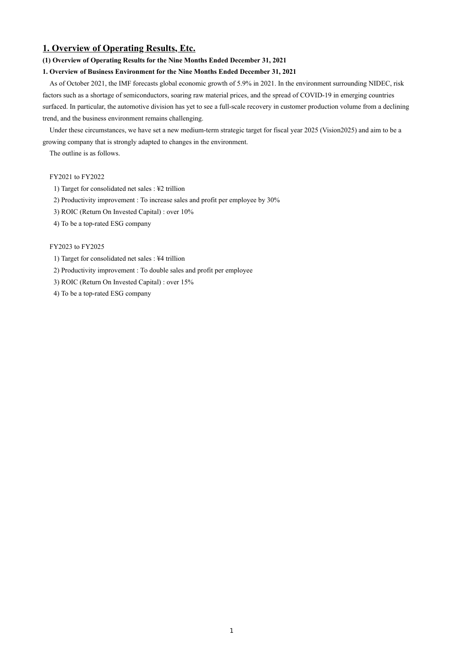# **1. Overview of Operating Results, Etc.**

## **(1) Overview of Operating Results for the Nine Months Ended December 31, 2021**

## **1. Overview of Business Environment for the Nine Months Ended December 31, 2021**

As of October 2021, the IMF forecasts global economic growth of 5.9% in 2021. In the environment surrounding NIDEC, risk factors such as a shortage of semiconductors, soaring raw material prices, and the spread of COVID-19 in emerging countries surfaced. In particular, the automotive division has yet to see a full-scale recovery in customer production volume from a declining trend, and the business environment remains challenging.

Under these circumstances, we have set a new medium-term strategic target for fiscal year 2025 (Vision2025) and aim to be a growing company that is strongly adapted to changes in the environment.

The outline is as follows.

## FY2021 to FY2022

- 1) Target for consolidated net sales : ¥2 trillion
- 2) Productivity improvement : To increase sales and profit per employee by 30%
- 3) ROIC (Return On Invested Capital) : over 10%
- 4) To be a top-rated ESG company

#### FY2023 to FY2025

- 1) Target for consolidated net sales : ¥4 trillion
- 2) Productivity improvement : To double sales and profit per employee
- 3) ROIC (Return On Invested Capital) : over 15%
- 4) To be a top-rated ESG company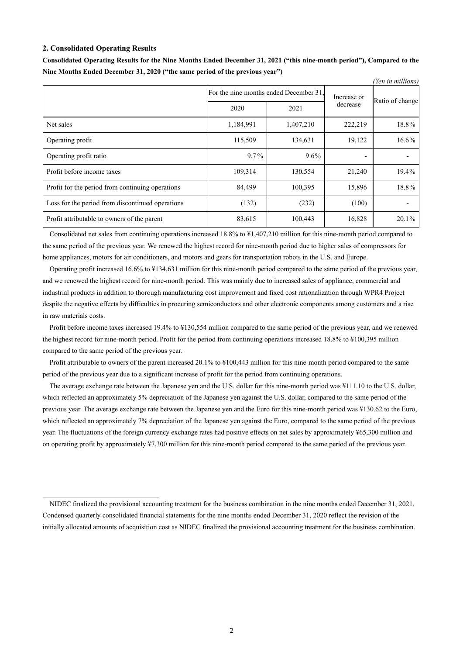#### **2. Consolidated Operating Results**

|                                                  |                                        |             |                          | (Yen in millions) |
|--------------------------------------------------|----------------------------------------|-------------|--------------------------|-------------------|
|                                                  | For the nine months ended December 31. | Increase or |                          |                   |
|                                                  | 2020                                   | 2021        | decrease                 | Ratio of change   |
| Net sales                                        | 1,184,991                              | 1,407,210   | 222,219                  | 18.8%             |
| Operating profit                                 | 115,509                                | 134,631     | 19,122                   | 16.6%             |
| Operating profit ratio                           | $9.7\%$                                | $9.6\%$     | $\overline{\phantom{0}}$ |                   |
| Profit before income taxes                       | 109,314                                | 130,554     | 21,240                   | 19.4%             |
| Profit for the period from continuing operations | 84,499                                 | 100,395     | 15,896                   | 18.8%             |
| Loss for the period from discontinued operations | (132)                                  | (232)       | (100)                    |                   |
| Profit attributable to owners of the parent      | 83,615                                 | 100,443     | 16,828                   | $20.1\%$          |

**Consolidated Operating Results for the Nine Months Ended December 31, 2021 ("this nine-month period"), Compared to the Nine Months Ended December 31, 2020 ("the same period of the previous year")**

Consolidated net sales from continuing operations increased 18.8% to ¥1,407,210 million for this nine-month period compared to the same period of the previous year. We renewed the highest record for nine-month period due to higher sales of compressors for home appliances, motors for air conditioners, and motors and gears for transportation robots in the U.S. and Europe.

Operating profit increased 16.6% to ¥134,631 million for this nine-month period compared to the same period of the previous year, and we renewed the highest record for nine-month period. This was mainly due to increased sales of appliance, commercial and industrial products in addition to thorough manufacturing cost improvement and fixed cost rationalization through WPR4 Project despite the negative effects by difficulties in procuring semiconductors and other electronic components among customers and a rise in raw materials costs.

Profit before income taxes increased 19.4% to ¥130,554 million compared to the same period of the previous year, and we renewed the highest record for nine-month period. Profit for the period from continuing operations increased 18.8% to ¥100,395 million compared to the same period of the previous year.

Profit attributable to owners of the parent increased 20.1% to ¥100,443 million for this nine-month period compared to the same period of the previous year due to a significant increase of profit for the period from continuing operations.

The average exchange rate between the Japanese yen and the U.S. dollar for this nine-month period was ¥111.10 to the U.S. dollar, which reflected an approximately 5% depreciation of the Japanese yen against the U.S. dollar, compared to the same period of the previous year. The average exchange rate between the Japanese yen and the Euro for this nine-month period was ¥130.62 to the Euro, which reflected an approximately 7% depreciation of the Japanese yen against the Euro, compared to the same period of the previous year. The fluctuations of the foreign currency exchange rates had positive effects on net sales by approximately ¥65,300 million and on operating profit by approximately ¥7,300 million for this nine-month period compared to the same period of the previous year.

NIDEC finalized the provisional accounting treatment for the business combination in the nine months ended December 31, 2021. Condensed quarterly consolidated financial statements for the nine months ended December 31, 2020 reflect the revision of the initially allocated amounts of acquisition cost as NIDEC finalized the provisional accounting treatment for the business combination.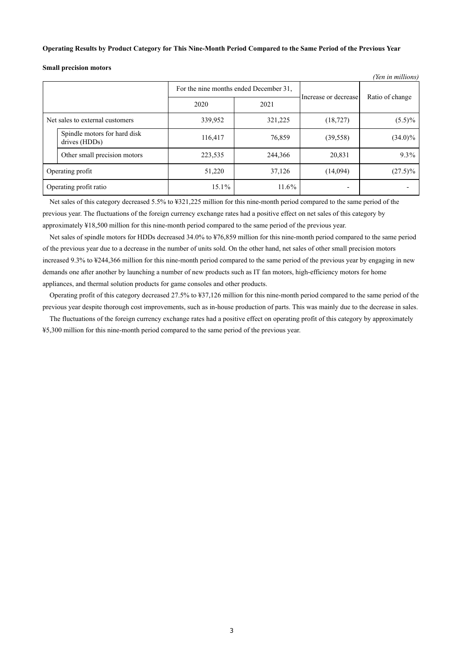#### **Operating Results by Product Category for This Nine-Month Period Compared to the Same Period of the Previous Year**

**Small precision motors**

|                                 |                                               |         |                                        |                      | ren in muttons) |
|---------------------------------|-----------------------------------------------|---------|----------------------------------------|----------------------|-----------------|
|                                 |                                               |         | For the nine months ended December 31, | Increase or decrease | Ratio of change |
|                                 |                                               | 2020    | 2021                                   |                      |                 |
| Net sales to external customers |                                               | 339,952 | 321,225                                | (18, 727)            | $(5.5)\%$       |
|                                 | Spindle motors for hard disk<br>drives (HDDs) | 116,417 | 76,859                                 | (39, 558)            | $(34.0)\%$      |
|                                 | Other small precision motors                  | 223,535 | 244,366                                | 20,831               | 9.3%            |
| Operating profit                |                                               | 51,220  | 37,126                                 | (14,094)             | $(27.5)\%$      |
| Operating profit ratio          |                                               | 15.1%   | $11.6\%$                               |                      |                 |

*(Yen in millions)*

Net sales of this category decreased 5.5% to ¥321,225 million for this nine-month period compared to the same period of the previous year. The fluctuations of the foreign currency exchange rates had a positive effect on net sales of this category by approximately ¥18,500 million for this nine-month period compared to the same period of the previous year.

Net sales of spindle motors for HDDs decreased 34.0% to ¥76,859 million for this nine-month period compared to the same period of the previous year due to a decrease in the number of units sold. On the other hand, net sales of other small precision motors increased 9.3% to ¥244,366 million for this nine-month period compared to the same period of the previous year by engaging in new demands one after another by launching a number of new products such as IT fan motors, high-efficiency motors for home appliances, and thermal solution products for game consoles and other products.

Operating profit of this category decreased 27.5% to ¥37,126 million for this nine-month period compared to the same period of the previous year despite thorough cost improvements, such as in-house production of parts. This was mainly due to the decrease in sales.

The fluctuations of the foreign currency exchange rates had a positive effect on operating profit of this category by approximately ¥5,300 million for this nine-month period compared to the same period of the previous year.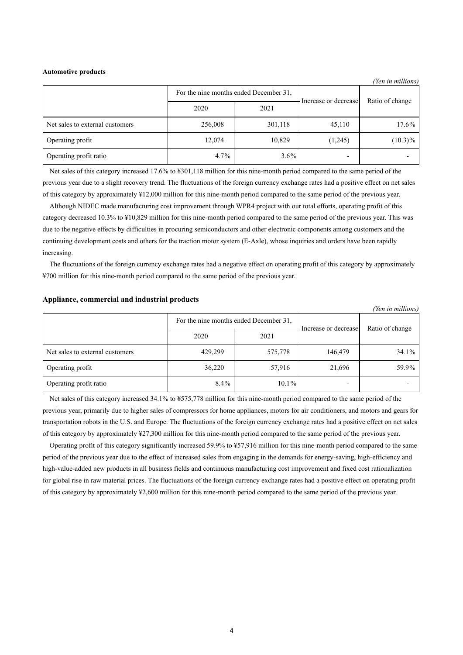#### **Automotive products**

*(Yen in millions)* For the nine months ended December 31, Increase or decrease Ratio of change 2020 2021 Net sales to external customers 17.6% 256,008 301,118 45,110 17.6% Operating profit 12,074 10,829 (1,245) (10.3)% Operating profit ratio  $4.7\%$  |  $3.6\%$ 

Net sales of this category increased 17.6% to ¥301,118 million for this nine-month period compared to the same period of the previous year due to a slight recovery trend. The fluctuations of the foreign currency exchange rates had a positive effect on net sales of this category by approximately ¥12,000 million for this nine-month period compared to the same period of the previous year.

Although NIDEC made manufacturing cost improvement through WPR4 project with our total efforts, operating profit of this category decreased 10.3% to ¥10,829 million for this nine-month period compared to the same period of the previous year. This was due to the negative effects by difficulties in procuring semiconductors and other electronic components among customers and the continuing development costs and others for the traction motor system (E-Axle), whose inquiries and orders have been rapidly increasing.

The fluctuations of the foreign currency exchange rates had a negative effect on operating profit of this category by approximately ¥700 million for this nine-month period compared to the same period of the previous year.

#### **Appliance, commercial and industrial products**

|                                 |                                        |          |                      | (Yen in millions) |
|---------------------------------|----------------------------------------|----------|----------------------|-------------------|
|                                 | For the nine months ended December 31, |          |                      |                   |
|                                 | 2020                                   | 2021     | Increase or decrease | Ratio of change   |
| Net sales to external customers | 429,299                                | 575,778  | 146,479              | $34.1\%$          |
| Operating profit                | 36,220                                 | 57,916   | 21,696               | 59.9%             |
| Operating profit ratio          | $8.4\%$                                | $10.1\%$ |                      |                   |

Net sales of this category increased 34.1% to ¥575,778 million for this nine-month period compared to the same period of the previous year, primarily due to higher sales of compressors for home appliances, motors for air conditioners, and motors and gears for transportation robots in the U.S. and Europe. The fluctuations of the foreign currency exchange rates had a positive effect on net sales of this category by approximately ¥27,300 million for this nine-month period compared to the same period of the previous year.

Operating profit of this category significantly increased 59.9% to ¥57,916 million for this nine-month period compared to the same period of the previous year due to the effect of increased sales from engaging in the demands for energy-saving, high-efficiency and high-value-added new products in all business fields and continuous manufacturing cost improvement and fixed cost rationalization for global rise in raw material prices. The fluctuations of the foreign currency exchange rates had a positive effect on operating profit of this category by approximately ¥2,600 million for this nine-month period compared to the same period of the previous year.

4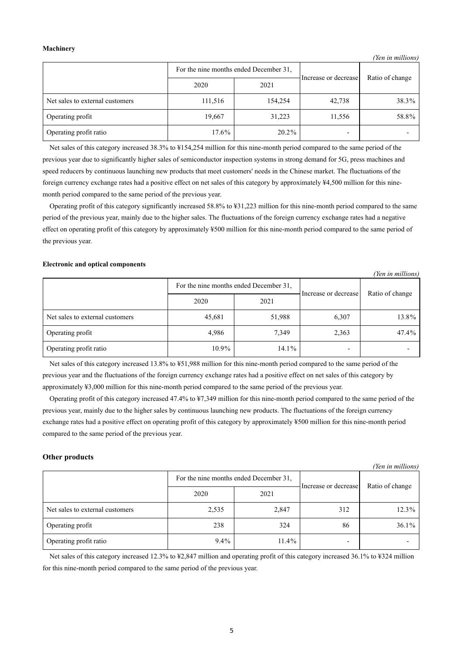#### **Machinery**

*(Yen in millions)*

|                                 | For the nine months ended December 31, |         | Increase or decrease     | Ratio of change |
|---------------------------------|----------------------------------------|---------|--------------------------|-----------------|
|                                 | 2020                                   | 2021    |                          |                 |
| Net sales to external customers | 111,516                                | 154,254 | 42,738                   | 38.3%           |
| Operating profit                | 19,667                                 | 31,223  | 11,556                   | 58.8%           |
| Operating profit ratio          | 17.6%                                  | 20.2%   | $\overline{\phantom{a}}$ |                 |

Net sales of this category increased 38.3% to ¥154,254 million for this nine-month period compared to the same period of the previous year due to significantly higher sales of semiconductor inspection systems in strong demand for 5G, press machines and speed reducers by continuous launching new products that meet customers' needs in the Chinese market. The fluctuations of the foreign currency exchange rates had a positive effect on net sales of this category by approximately ¥4,500 million for this ninemonth period compared to the same period of the previous year.

Operating profit of this category significantly increased 58.8% to ¥31,223 million for this nine-month period compared to the same period of the previous year, mainly due to the higher sales. The fluctuations of the foreign currency exchange rates had a negative effect on operating profit of this category by approximately ¥500 million for this nine-month period compared to the same period of the previous year.

#### **Electronic and optical components**

|                                 |          |                                        |                      | (Yen in millions) |
|---------------------------------|----------|----------------------------------------|----------------------|-------------------|
|                                 |          | For the nine months ended December 31, | Increase or decrease | Ratio of change   |
|                                 | 2020     | 2021                                   |                      |                   |
| Net sales to external customers | 45,681   | 51,988                                 | 6,307                | 13.8%             |
| Operating profit                | 4,986    | 7,349                                  | 2,363                | 47.4%             |
| Operating profit ratio          | $10.9\%$ | $14.1\%$                               |                      |                   |

Net sales of this category increased 13.8% to ¥51,988 million for this nine-month period compared to the same period of the previous year and the fluctuations of the foreign currency exchange rates had a positive effect on net sales of this category by approximately ¥3,000 million for this nine-month period compared to the same period of the previous year.

Operating profit of this category increased 47.4% to ¥7,349 million for this nine-month period compared to the same period of the previous year, mainly due to the higher sales by continuous launching new products. The fluctuations of the foreign currency exchange rates had a positive effect on operating profit of this category by approximately ¥500 million for this nine-month period compared to the same period of the previous year.

### **Other products**

|                                 |         |                                        |                      | (Yen in millions) |
|---------------------------------|---------|----------------------------------------|----------------------|-------------------|
|                                 |         | For the nine months ended December 31, | Increase or decrease | Ratio of change   |
|                                 | 2020    | 2021                                   |                      |                   |
| Net sales to external customers | 2,535   | 2,847                                  | 312                  | $12.3\%$          |
| Operating profit                | 238     | 324                                    | 86                   | $36.1\%$          |
| Operating profit ratio          | $9.4\%$ | $11.4\%$                               |                      |                   |

Net sales of this category increased 12.3% to ¥2,847 million and operating profit of this category increased 36.1% to ¥324 million for this nine-month period compared to the same period of the previous year.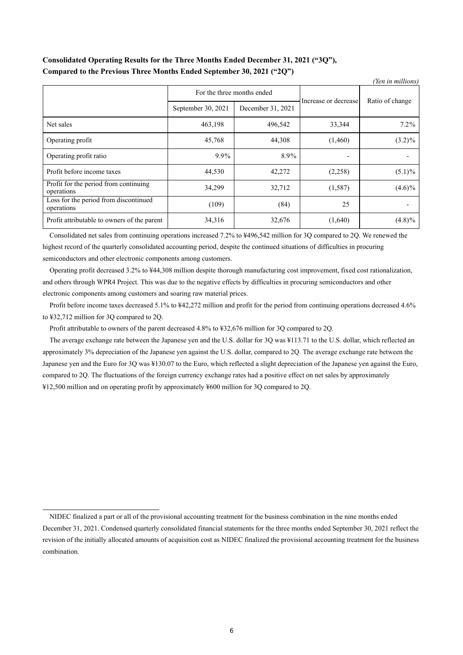# **Consolidated Operating Results for the Three Months Ended December 31, 2021 ("3Q"), Compared to the Previous Three Months Ended September 30, 2021 ("2Q")**

| (Yen in millions)                                   |                            |                   |                          |                 |  |
|-----------------------------------------------------|----------------------------|-------------------|--------------------------|-----------------|--|
|                                                     | For the three months ended |                   | Increase or decrease     | Ratio of change |  |
|                                                     | September 30, 2021         | December 31, 2021 |                          |                 |  |
| Net sales                                           | 463,198                    | 496,542           | 33,344                   | $7.2\%$         |  |
| Operating profit                                    | 45,768                     | 44,308            | (1,460)                  | $(3.2)\%$       |  |
| Operating profit ratio                              | 9.9%                       | 8.9%              | $\overline{\phantom{a}}$ |                 |  |
| Profit before income taxes                          | 44,530                     | 42,272            | (2,258)                  | $(5.1)\%$       |  |
| Profit for the period from continuing<br>operations | 34,299                     | 32,712            | (1,587)                  | $(4.6)\%$       |  |
| Loss for the period from discontinued<br>operations | (109)                      | (84)              | 25                       |                 |  |
| Profit attributable to owners of the parent         | 34,316                     | 32,676            | (1,640)                  | $(4.8)\%$       |  |

Consolidated net sales from continuing operations increased 7.2% to ¥496,542 million for 3Q compared to 2Q. We renewed the highest record of the quarterly consolidated accounting period, despite the continued situations of difficulties in procuring semiconductors and other electronic components among customers.

Operating profit decreased 3.2% to ¥44,308 million despite thorough manufacturing cost improvement, fixed cost rationalization, and others through WPR4 Project. This was due to the negative effects by difficulties in procuring semiconductors and other electronic components among customers and soaring raw material prices.

Profit before income taxes decreased 5.1% to ¥42,272 million and profit for the period from continuing operations decreased 4.6% to ¥32,712 million for 3Q compared to 2Q.

Profit attributable to owners of the parent decreased 4.8% to ¥32,676 million for 3Q compared to 2Q.

The average exchange rate between the Japanese yen and the U.S. dollar for 3Q was ¥113.71 to the U.S. dollar, which reflected an approximately 3% depreciation of the Japanese yen against the U.S. dollar, compared to 2Q. The average exchange rate between the Japanese yen and the Euro for 3Q was ¥130.07 to the Euro, which reflected a slight depreciation of the Japanese yen against the Euro, compared to 2Q. The fluctuations of the foreign currency exchange rates had a positive effect on net sales by approximately ¥12,500 million and on operating profit by approximately ¥600 million for 3Q compared to 2Q.

NIDEC finalized a part or all of the provisional accounting treatment for the business combination in the nine months ended December 31, 2021. Condensed quarterly consolidated financial statements for the three months ended September 30, 2021 reflect the revision of the initially allocated amounts of acquisition cost as NIDEC finalized the provisional accounting treatment for the business combination.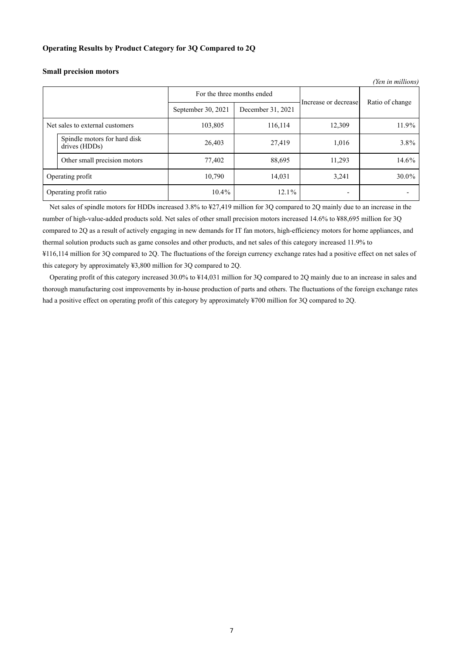### **Operating Results by Product Category for 3Q Compared to 2Q**

| (Yen in millions)                                     |                            |                   |                      |                 |
|-------------------------------------------------------|----------------------------|-------------------|----------------------|-----------------|
|                                                       | For the three months ended |                   | Increase or decrease |                 |
|                                                       | September 30, 2021         | December 31, 2021 |                      | Ratio of change |
| 116,114<br>Net sales to external customers<br>103,805 |                            | 12,309            | 11.9%                |                 |
| Spindle motors for hard disk<br>drives (HDDs)         | 26,403                     | 27,419            | 1,016                | 3.8%            |
| Other small precision motors                          | 77,402                     | 88,695            | 11,293               | 14.6%           |
| Operating profit                                      | 10,790                     | 14,031            | 3,241                | 30.0%           |
| Operating profit ratio                                | $10.4\%$                   | 12.1%             | -                    |                 |

#### **Small precision motors**

Net sales of spindle motors for HDDs increased 3.8% to ¥27,419 million for 3Q compared to 2Q mainly due to an increase in the number of high-value-added products sold. Net sales of other small precision motors increased 14.6% to ¥88,695 million for 3Q compared to 2Q as a result of actively engaging in new demands for IT fan motors, high-efficiency motors for home appliances, and thermal solution products such as game consoles and other products, and net sales of this category increased 11.9% to ¥116,114 million for 3Q compared to 2Q. The fluctuations of the foreign currency exchange rates had a positive effect on net sales of this category by approximately ¥3,800 million for 3Q compared to 2Q.

Operating profit of this category increased 30.0% to ¥14,031 million for 3Q compared to 2Q mainly due to an increase in sales and thorough manufacturing cost improvements by in-house production of parts and others. The fluctuations of the foreign exchange rates had a positive effect on operating profit of this category by approximately ¥700 million for 3Q compared to 2Q.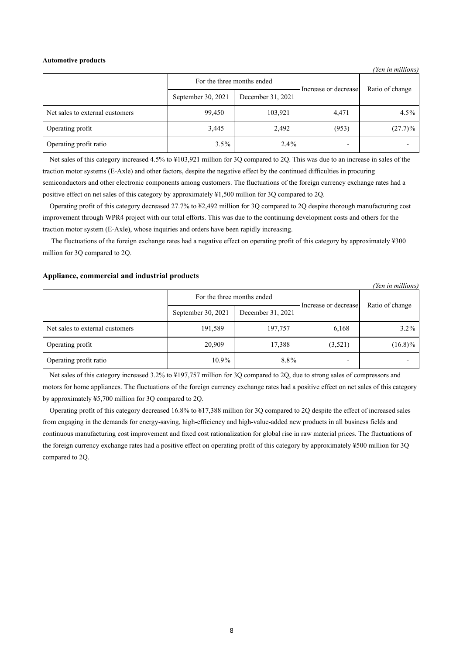#### **Automotive products**

|                                 |                            |                   |                      | (Yen in millions) |
|---------------------------------|----------------------------|-------------------|----------------------|-------------------|
|                                 | For the three months ended |                   | Increase or decrease | Ratio of change   |
|                                 | September 30, 2021         | December 31, 2021 |                      |                   |
| Net sales to external customers | 99,450                     | 103,921           | 4,471                | $4.5\%$           |
| Operating profit                | 3,445                      | 2,492             | (953)                | $(27.7)\%$        |
| Operating profit ratio          | $3.5\%$                    | $2.4\%$           |                      |                   |

Net sales of this category increased 4.5% to ¥103,921 million for 3Q compared to 2Q. This was due to an increase in sales of the traction motor systems (E-Axle) and other factors, despite the negative effect by the continued difficulties in procuring semiconductors and other electronic components among customers. The fluctuations of the foreign currency exchange rates had a positive effect on net sales of this category by approximately ¥1,500 million for 3Q compared to 2Q.

Operating profit of this category decreased 27.7% to ¥2,492 million for 3Q compared to 2Q despite thorough manufacturing cost improvement through WPR4 project with our total efforts. This was due to the continuing development costs and others for the traction motor system (E-Axle), whose inquiries and orders have been rapidly increasing.

The fluctuations of the foreign exchange rates had a negative effect on operating profit of this category by approximately ¥300 million for 3Q compared to 2Q.

## **Appliance, commercial and industrial products**

|                                 |                            |                   |                      | (Yen in millions) |
|---------------------------------|----------------------------|-------------------|----------------------|-------------------|
|                                 | For the three months ended |                   | Increase or decrease | Ratio of change   |
|                                 | September 30, 2021         | December 31, 2021 |                      |                   |
| Net sales to external customers | 191,589                    | 197,757           | 6,168                | $3.2\%$           |
| Operating profit                | 20,909                     | 17,388            | (3,521)              | $(16.8)\%$        |
| Operating profit ratio          | $10.9\%$                   | $8.8\%$           |                      |                   |

Net sales of this category increased 3.2% to ¥197,757 million for 3Q compared to 2Q, due to strong sales of compressors and motors for home appliances. The fluctuations of the foreign currency exchange rates had a positive effect on net sales of this category by approximately ¥5,700 million for 3Q compared to 2Q.

Operating profit of this category decreased 16.8% to ¥17,388 million for 3Q compared to 2Q despite the effect of increased sales from engaging in the demands for energy-saving, high-efficiency and high-value-added new products in all business fields and continuous manufacturing cost improvement and fixed cost rationalization for global rise in raw material prices. The fluctuations of the foreign currency exchange rates had a positive effect on operating profit of this category by approximately ¥500 million for 3Q compared to 2Q.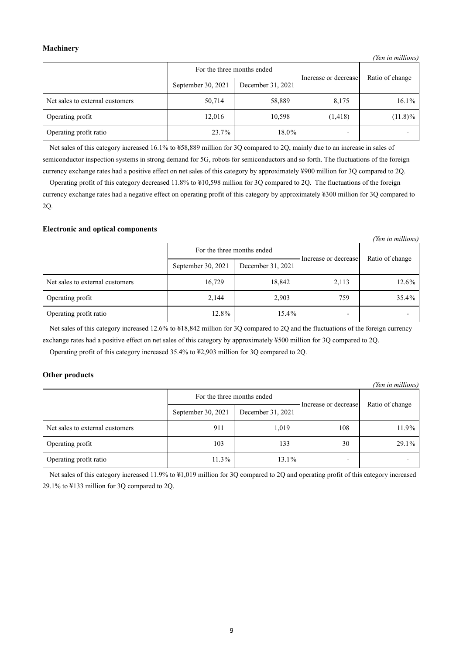## **Machinery**

|                                 | For the three months ended |                   | Increase or decrease | Ratio of change |
|---------------------------------|----------------------------|-------------------|----------------------|-----------------|
|                                 | September 30, 2021         | December 31, 2021 |                      |                 |
| Net sales to external customers | 50,714                     | 58,889            | 8,175                | $16.1\%$        |
| Operating profit                | 12,016                     | 10,598            | (1,418)              | $(11.8)\%$      |
| Operating profit ratio          | 23.7%                      | 18.0%             |                      |                 |

*(Yen in millions)*

Net sales of this category increased 16.1% to ¥58,889 million for 3Q compared to 2Q, mainly due to an increase in sales of semiconductor inspection systems in strong demand for 5G, robots for semiconductors and so forth. The fluctuations of the foreign currency exchange rates had a positive effect on net sales of this category by approximately ¥900 million for 3Q compared to 2Q.

Operating profit of this category decreased 11.8% to ¥10,598 million for 3Q compared to 2Q. The fluctuations of the foreign currency exchange rates had a negative effect on operating profit of this category by approximately ¥300 million for 3Q compared to 2Q.

### **Electronic and optical components**

|                                 |                            |                   |                          | (Yen in millions) |
|---------------------------------|----------------------------|-------------------|--------------------------|-------------------|
|                                 | For the three months ended |                   | Increase or decrease     | Ratio of change   |
|                                 | September 30, 2021         | December 31, 2021 |                          |                   |
| Net sales to external customers | 16,729                     | 18,842            | 2,113                    | 12.6%             |
| Operating profit                | 2,144                      | 2,903             | 759                      | 35.4%             |
| Operating profit ratio          | 12.8%                      | $15.4\%$          | $\overline{\phantom{a}}$ |                   |

Net sales of this category increased 12.6% to ¥18,842 million for 3Q compared to 2Q and the fluctuations of the foreign currency exchange rates had a positive effect on net sales of this category by approximately ¥500 million for 3Q compared to 2Q.

Operating profit of this category increased 35.4% to ¥2,903 million for 3Q compared to 2Q.

## **Other products**

| (Yen in millions)               |                            |                   |                      |                 |  |
|---------------------------------|----------------------------|-------------------|----------------------|-----------------|--|
|                                 | For the three months ended |                   | Increase or decrease | Ratio of change |  |
|                                 | September 30, 2021         | December 31, 2021 |                      |                 |  |
| Net sales to external customers | 911                        | 1,019             | 108                  | 11.9%           |  |
| Operating profit                | 103                        | 133               | 30                   | 29.1%           |  |
| Operating profit ratio          | $11.3\%$                   | 13.1%             |                      |                 |  |

Net sales of this category increased 11.9% to ¥1,019 million for 3Q compared to 2Q and operating profit of this category increased 29.1% to ¥133 million for 3Q compared to 2Q.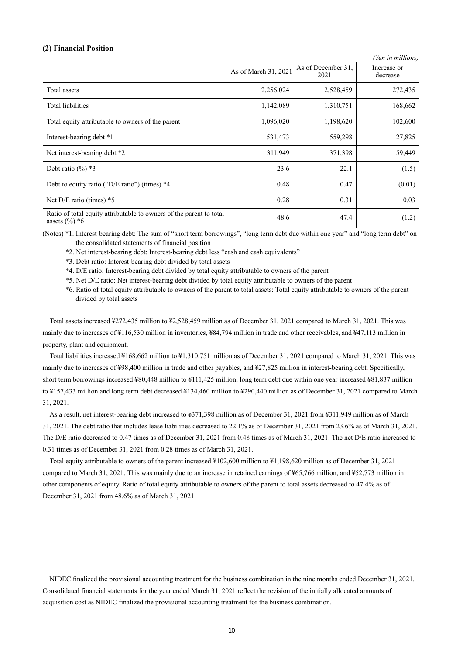#### **(2) Financial Position**

|                                                                                         |                      |                            | (Yen in millions)       |
|-----------------------------------------------------------------------------------------|----------------------|----------------------------|-------------------------|
|                                                                                         | As of March 31, 2021 | As of December 31,<br>2021 | Increase or<br>decrease |
| Total assets                                                                            | 2,256,024            | 2,528,459                  | 272,435                 |
| <b>Total liabilities</b>                                                                | 1,142,089            | 1,310,751                  | 168,662                 |
| Total equity attributable to owners of the parent                                       | 1,096,020            | 1,198,620                  | 102,600                 |
| Interest-bearing debt *1                                                                | 531,473              | 559,298                    | 27,825                  |
| Net interest-bearing debt *2                                                            | 311,949              | 371,398                    | 59,449                  |
| Debt ratio $(\%)$ *3                                                                    | 23.6                 | 22.1                       | (1.5)                   |
| Debt to equity ratio ("D/E ratio") (times) $*4$                                         | 0.48                 | 0.47                       | (0.01)                  |
| Net $D/E$ ratio (times) $*5$                                                            | 0.28                 | 0.31                       | 0.03                    |
| Ratio of total equity attributable to owners of the parent to total<br>assets $(\%)^*6$ | 48.6                 | 47.4                       | (1.2)                   |

(Notes) \*1. Interest-bearing debt: The sum of "short term borrowings", "long term debt due within one year" and "long term debt" on the consolidated statements of financial position

\*2. Net interest-bearing debt: Interest-bearing debt less "cash and cash equivalents"

\*3. Debt ratio: Interest-bearing debt divided by total assets

\*4. D/E ratio: Interest-bearing debt divided by total equity attributable to owners of the parent

\*5. Net D/E ratio: Net interest-bearing debt divided by total equity attributable to owners of the parent

\*6. Ratio of total equity attributable to owners of the parent to total assets: Total equity attributable to owners of the parent divided by total assets

Total assets increased ¥272,435 million to ¥2,528,459 million as of December 31, 2021 compared to March 31, 2021. This was mainly due to increases of ¥116,530 million in inventories, ¥84,794 million in trade and other receivables, and ¥47,113 million in property, plant and equipment.

Total liabilities increased ¥168,662 million to ¥1,310,751 million as of December 31, 2021 compared to March 31, 2021. This was mainly due to increases of ¥98,400 million in trade and other payables, and ¥27,825 million in interest-bearing debt. Specifically, short term borrowings increased ¥80,448 million to ¥111,425 million, long term debt due within one year increased ¥81,837 million to ¥157,433 million and long term debt decreased ¥134,460 million to ¥290,440 million as of December 31, 2021 compared to March 31, 2021.

As a result, net interest-bearing debt increased to ¥371,398 million as of December 31, 2021 from ¥311,949 million as of March 31, 2021. The debt ratio that includes lease liabilities decreased to 22.1% as of December 31, 2021 from 23.6% as of March 31, 2021. The D/E ratio decreased to 0.47 times as of December 31, 2021 from 0.48 times as of March 31, 2021. The net D/E ratio increased to 0.31 times as of December 31, 2021 from 0.28 times as of March 31, 2021.

Total equity attributable to owners of the parent increased ¥102,600 million to ¥1,198,620 million as of December 31, 2021 compared to March 31, 2021. This was mainly due to an increase in retained earnings of ¥65,766 million, and ¥52,773 million in other components of equity. Ratio of total equity attributable to owners of the parent to total assets decreased to 47.4% as of December 31, 2021 from 48.6% as of March 31, 2021.

NIDEC finalized the provisional accounting treatment for the business combination in the nine months ended December 31, 2021. Consolidated financial statements for the year ended March 31, 2021 reflect the revision of the initially allocated amounts of acquisition cost as NIDEC finalized the provisional accounting treatment for the business combination.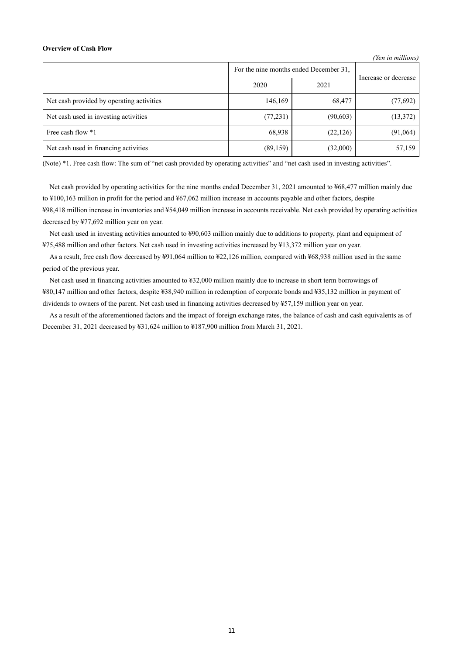#### **Overview of Cash Flow**

|                                           |                                        |           | (Yen in millions)    |
|-------------------------------------------|----------------------------------------|-----------|----------------------|
|                                           | For the nine months ended December 31, |           | Increase or decrease |
|                                           | 2020                                   | 2021      |                      |
| Net cash provided by operating activities | 146,169                                | 68,477    | (77, 692)            |
| Net cash used in investing activities     | (77, 231)                              | (90, 603) | (13, 372)            |
| Free cash flow *1                         | 68,938                                 | (22, 126) | (91,064)             |
| Net cash used in financing activities     | (89, 159)                              | (32,000)  | 57,159               |

(Note) \*1. Free cash flow: The sum of "net cash provided by operating activities" and "net cash used in investing activities".

Net cash provided by operating activities for the nine months ended December 31, 2021 amounted to ¥68,477 million mainly due to ¥100,163 million in profit for the period and ¥67,062 million increase in accounts payable and other factors, despite ¥98,418 million increase in inventories and ¥54,049 million increase in accounts receivable. Net cash provided by operating activities decreased by ¥77,692 million year on year.

Net cash used in investing activities amounted to ¥90,603 million mainly due to additions to property, plant and equipment of ¥75,488 million and other factors. Net cash used in investing activities increased by ¥13,372 million year on year.

As a result, free cash flow decreased by ¥91,064 million to ¥22,126 million, compared with ¥68,938 million used in the same period of the previous year.

Net cash used in financing activities amounted to ¥32,000 million mainly due to increase in short term borrowings of ¥80,147 million and other factors, despite ¥38,940 million in redemption of corporate bonds and ¥35,132 million in payment of dividends to owners of the parent. Net cash used in financing activities decreased by ¥57,159 million year on year.

As a result of the aforementioned factors and the impact of foreign exchange rates, the balance of cash and cash equivalents as of December 31, 2021 decreased by ¥31,624 million to ¥187,900 million from March 31, 2021.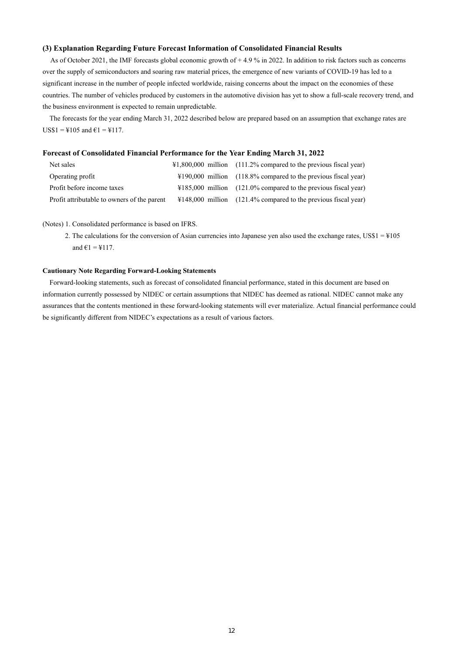### **(3) Explanation Regarding Future Forecast Information of Consolidated Financial Results**

As of October 2021, the IMF forecasts global economic growth of +4.9 % in 2022. In addition to risk factors such as concerns over the supply of semiconductors and soaring raw material prices, the emergence of new variants of COVID-19 has led to a significant increase in the number of people infected worldwide, raising concerns about the impact on the economies of these countries. The number of vehicles produced by customers in the automotive division has yet to show a full-scale recovery trend, and the business environment is expected to remain unpredictable.

The forecasts for the year ending March 31, 2022 described below are prepared based on an assumption that exchange rates are  $US$1 = $105$  and  $€1 = $117$ .

#### **Forecast of Consolidated Financial Performance for the Year Ending March 31, 2022**

| Net sales                                   | $\text{\#1,800,000}$ million (111.2% compared to the previous fiscal year) |
|---------------------------------------------|----------------------------------------------------------------------------|
| Operating profit                            | $\text{\#190,000}$ million (118.8% compared to the previous fiscal year)   |
| Profit before income taxes                  | $\text{\#185,000}$ million (121.0% compared to the previous fiscal year)   |
| Profit attributable to owners of the parent | $\text{\#148,000}$ million (121.4% compared to the previous fiscal year)   |

(Notes) 1. Consolidated performance is based on IFRS.

2. The calculations for the conversion of Asian currencies into Japanese yen also used the exchange rates, US\$1 = ¥105 and  $61 = 117$ .

#### **Cautionary Note Regarding Forward-Looking Statements**

Forward-looking statements, such as forecast of consolidated financial performance, stated in this document are based on information currently possessed by NIDEC or certain assumptions that NIDEC has deemed as rational. NIDEC cannot make any assurances that the contents mentioned in these forward-looking statements will ever materialize. Actual financial performance could be significantly different from NIDEC's expectations as a result of various factors.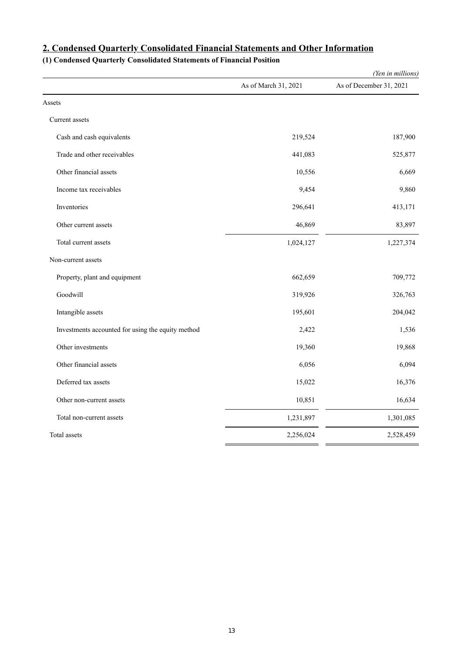|                                                   |                      | (Yen in millions)       |
|---------------------------------------------------|----------------------|-------------------------|
|                                                   | As of March 31, 2021 | As of December 31, 2021 |
| Assets                                            |                      |                         |
| Current assets                                    |                      |                         |
| Cash and cash equivalents                         | 219,524              | 187,900                 |
| Trade and other receivables                       | 441,083              | 525,877                 |
| Other financial assets                            | 10,556               | 6,669                   |
| Income tax receivables                            | 9,454                | 9,860                   |
| Inventories                                       | 296,641              | 413,171                 |
| Other current assets                              | 46,869               | 83,897                  |
| Total current assets                              | 1,024,127            | 1,227,374               |
| Non-current assets                                |                      |                         |
| Property, plant and equipment                     | 662,659              | 709,772                 |
| Goodwill                                          | 319,926              | 326,763                 |
| Intangible assets                                 | 195,601              | 204,042                 |
| Investments accounted for using the equity method | 2,422                | 1,536                   |
| Other investments                                 | 19,360               | 19,868                  |
| Other financial assets                            | 6,056                | 6,094                   |
| Deferred tax assets                               | 15,022               | 16,376                  |
| Other non-current assets                          | 10,851               | 16,634                  |
| Total non-current assets                          | 1,231,897            | 1,301,085               |
| Total assets                                      | 2,256,024            | 2,528,459               |

# **2. Condensed Quarterly Consolidated Financial Statements and Other Information**

# **(1) Condensed Quarterly Consolidated Statements of Financial Position**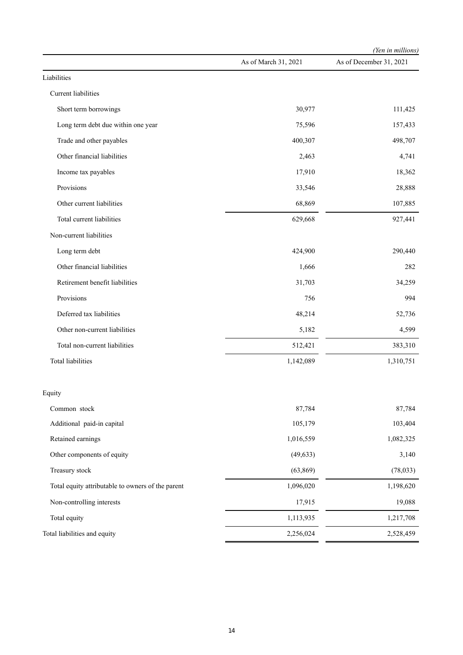|                                                   |                      | (Yen in millions)       |
|---------------------------------------------------|----------------------|-------------------------|
|                                                   | As of March 31, 2021 | As of December 31, 2021 |
| Liabilities                                       |                      |                         |
| Current liabilities                               |                      |                         |
| Short term borrowings                             | 30,977               | 111,425                 |
| Long term debt due within one year                | 75,596               | 157,433                 |
| Trade and other payables                          | 400,307              | 498,707                 |
| Other financial liabilities                       | 2,463                | 4,741                   |
| Income tax payables                               | 17,910               | 18,362                  |
| Provisions                                        | 33,546               | 28,888                  |
| Other current liabilities                         | 68,869               | 107,885                 |
| Total current liabilities                         | 629,668              | 927,441                 |
| Non-current liabilities                           |                      |                         |
| Long term debt                                    | 424,900              | 290,440                 |
| Other financial liabilities                       | 1,666                | 282                     |
| Retirement benefit liabilities                    | 31,703               | 34,259                  |
| Provisions                                        | 756                  | 994                     |
| Deferred tax liabilities                          | 48,214               | 52,736                  |
| Other non-current liabilities                     | 5,182                | 4,599                   |
| Total non-current liabilities                     | 512,421              | 383,310                 |
| <b>Total liabilities</b>                          | 1,142,089            | 1,310,751               |
| Equity                                            |                      |                         |
| Common stock                                      | 87,784               | 87,784                  |
| Additional paid-in capital                        | 105,179              | 103,404                 |
| Retained earnings                                 | 1,016,559            | 1,082,325               |
| Other components of equity                        | (49, 633)            | 3,140                   |
| Treasury stock                                    | (63, 869)            | (78,033)                |
| Total equity attributable to owners of the parent | 1,096,020            | 1,198,620               |
| Non-controlling interests                         | 17,915               | 19,088                  |
| Total equity                                      | 1,113,935            | 1,217,708               |
| Total liabilities and equity                      | 2,256,024            | 2,528,459               |
|                                                   |                      |                         |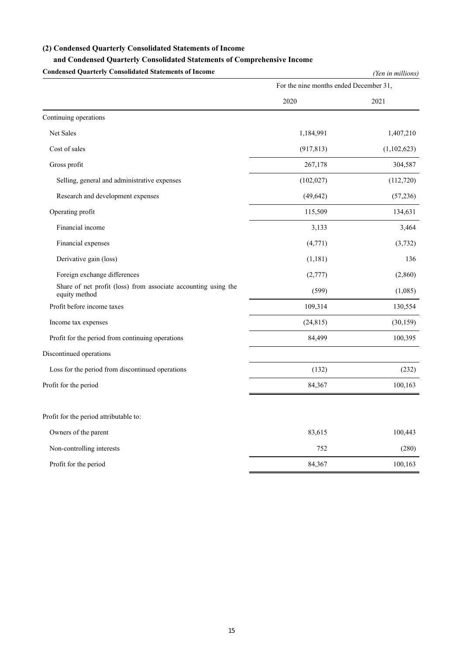### **(2) Condensed Quarterly Consolidated Statements of Income**

## **and Condensed Quarterly Consolidated Statements of Comprehensive Income**

**Condensed Quarterly Consolidated Statements of Income** *(Yen in millions)* For the nine months ended December 31, 2020 2021 Continuing operations Net Sales 1,184,991 1,407,210 Cost of sales (917,813) (1,102,623) (1,102,623) Gross profit 267,178 304,587 Selling, general and administrative expenses (102,027) (112,720) Research and development expenses (49,642) (57,236) Operating profit 115,509 134,631 Financial income 3,133 3,464 Financial expenses  $(4,771)$   $(3,732)$ Derivative gain (loss) (1,181) 136 Foreign exchange differences (2,777) (2,860) Share of net profit (loss) from associate accounting using the (599) (1,085) (1,085) Profit before income taxes 109,314 130,554 Income tax expenses  $(24,815)$   $(30,159)$ Profit for the period from continuing operations 84,499 100,395 Discontinued operations Loss for the period from discontinued operations (132) (232) Profit for the period 84,367 100,163 Profit for the period attributable to: Owners of the parent 100,443 Non-controlling interests (280) 752 (280) Profit for the period 84,367 100,163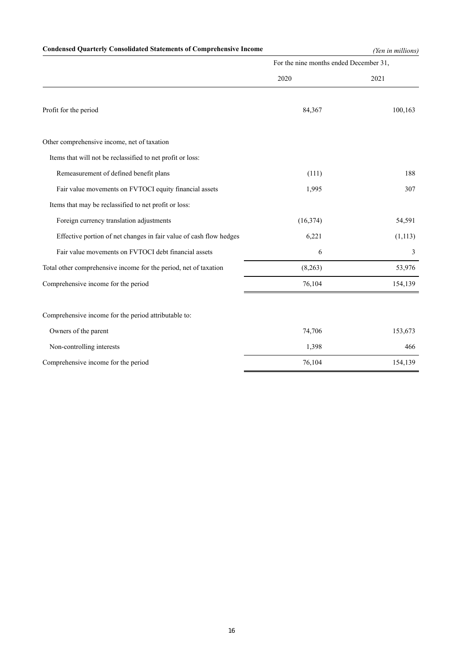# **Condensed Quarterly Consolidated Statements of Comprehensive Income** *(Yen in millions)*

|                                                                    | For the nine months ended December 31, |          |  |
|--------------------------------------------------------------------|----------------------------------------|----------|--|
|                                                                    | 2020                                   | 2021     |  |
| Profit for the period                                              | 84,367                                 | 100,163  |  |
| Other comprehensive income, net of taxation                        |                                        |          |  |
| Items that will not be reclassified to net profit or loss:         |                                        |          |  |
| Remeasurement of defined benefit plans                             | (111)                                  | 188      |  |
| Fair value movements on FVTOCI equity financial assets             | 1,995                                  | 307      |  |
| Items that may be reclassified to net profit or loss:              |                                        |          |  |
| Foreign currency translation adjustments                           | (16, 374)                              | 54,591   |  |
| Effective portion of net changes in fair value of cash flow hedges | 6,221                                  | (1, 113) |  |
| Fair value movements on FVTOCI debt financial assets               | 6                                      | 3        |  |
| Total other comprehensive income for the period, net of taxation   | (8,263)                                | 53,976   |  |
| Comprehensive income for the period                                | 76,104                                 | 154,139  |  |
| Comprehensive income for the period attributable to:               |                                        |          |  |
| Owners of the parent                                               | 74,706                                 | 153,673  |  |
| Non-controlling interests                                          | 1,398                                  | 466      |  |
| Comprehensive income for the period                                | 76,104                                 | 154,139  |  |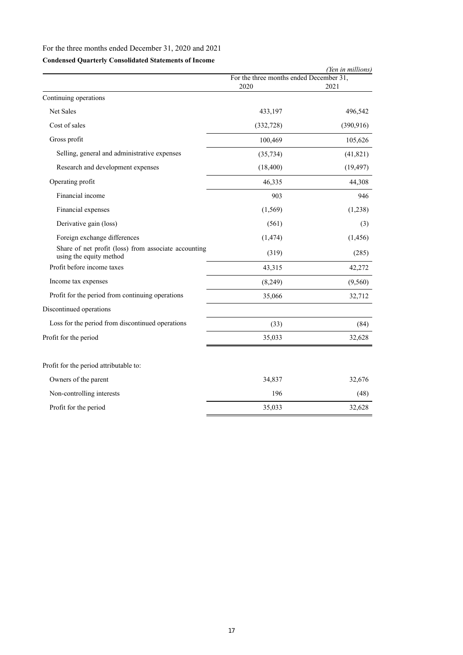# For the three months ended December 31, 2020 and 2021

# **Condensed Quarterly Consolidated Statements of Income**

|                                                                                 |                                                 | (Yen in millions) |
|---------------------------------------------------------------------------------|-------------------------------------------------|-------------------|
|                                                                                 | For the three months ended December 31,<br>2020 | 2021              |
| Continuing operations                                                           |                                                 |                   |
| Net Sales                                                                       | 433,197                                         | 496,542           |
| Cost of sales                                                                   | (332, 728)                                      | (390, 916)        |
| Gross profit                                                                    | 100,469                                         | 105,626           |
| Selling, general and administrative expenses                                    | (35, 734)                                       | (41, 821)         |
| Research and development expenses                                               | (18, 400)                                       | (19, 497)         |
| Operating profit                                                                | 46,335                                          | 44,308            |
| Financial income                                                                | 903                                             | 946               |
| Financial expenses                                                              | (1, 569)                                        | (1,238)           |
| Derivative gain (loss)                                                          | (561)                                           | (3)               |
| Foreign exchange differences                                                    | (1, 474)                                        | (1, 456)          |
| Share of net profit (loss) from associate accounting<br>using the equity method | (319)                                           | (285)             |
| Profit before income taxes                                                      | 43,315                                          | 42,272            |
| Income tax expenses                                                             | (8,249)                                         | (9,560)           |
| Profit for the period from continuing operations                                | 35,066                                          | 32,712            |
| Discontinued operations                                                         |                                                 |                   |
| Loss for the period from discontinued operations                                | (33)                                            | (84)              |
| Profit for the period                                                           | 35,033                                          | 32,628            |
| Profit for the period attributable to:                                          |                                                 |                   |
| Owners of the parent                                                            | 34,837                                          | 32,676            |
| Non-controlling interests                                                       | 196                                             | (48)              |
| Profit for the period                                                           | 35,033                                          | 32,628            |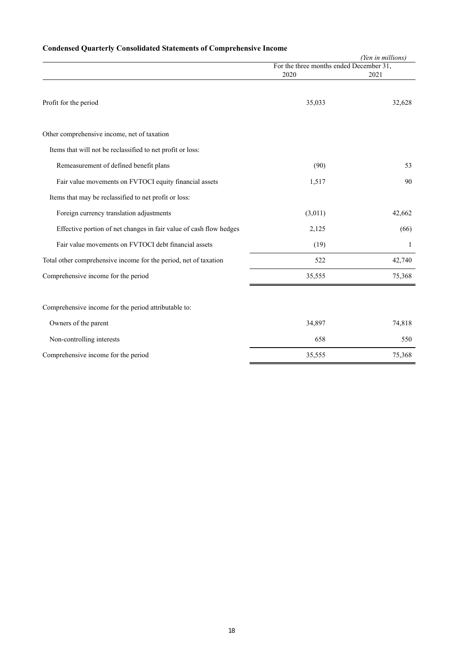# **Condensed Quarterly Consolidated Statements of Comprehensive Income**

|                                                                    | (Yen in millions)                       |        |  |  |
|--------------------------------------------------------------------|-----------------------------------------|--------|--|--|
|                                                                    | For the three months ended December 31, |        |  |  |
|                                                                    | 2020                                    | 2021   |  |  |
| Profit for the period                                              | 35,033                                  | 32,628 |  |  |
| Other comprehensive income, net of taxation                        |                                         |        |  |  |
| Items that will not be reclassified to net profit or loss:         |                                         |        |  |  |
| Remeasurement of defined benefit plans                             | (90)                                    | 53     |  |  |
| Fair value movements on FVTOCI equity financial assets             | 1,517                                   | 90     |  |  |
| Items that may be reclassified to net profit or loss:              |                                         |        |  |  |
| Foreign currency translation adjustments                           | (3,011)                                 | 42,662 |  |  |
| Effective portion of net changes in fair value of cash flow hedges | 2,125                                   | (66)   |  |  |
| Fair value movements on FVTOCI debt financial assets               | (19)                                    | 1      |  |  |
| Total other comprehensive income for the period, net of taxation   | 522                                     | 42,740 |  |  |
| Comprehensive income for the period                                | 35,555                                  | 75,368 |  |  |
|                                                                    |                                         |        |  |  |
| Comprehensive income for the period attributable to:               |                                         |        |  |  |
| Owners of the parent                                               | 34,897                                  | 74,818 |  |  |
| Non-controlling interests                                          | 658                                     | 550    |  |  |

Comprehensive income for the period 35,555 75,368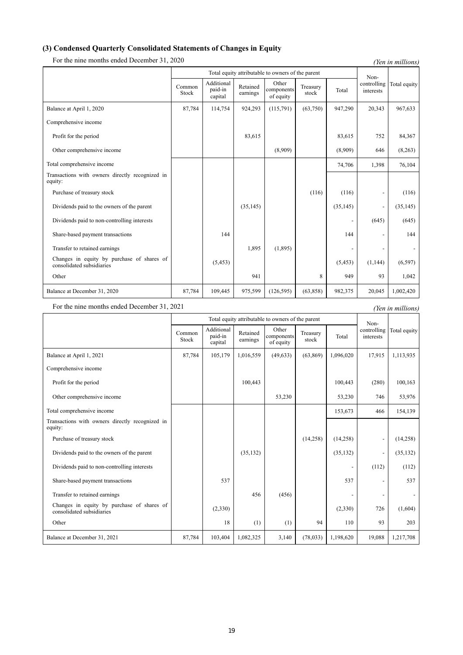## **(3) Condensed Quarterly Consolidated Statements of Changes in Equity**

For the nine months ended December 31, 2020 *(Yen in millions)* 

|                                                                         |                 | Total equity attributable to owners of the parent |                      |                                  |                   |           | Non-                     |              |
|-------------------------------------------------------------------------|-----------------|---------------------------------------------------|----------------------|----------------------------------|-------------------|-----------|--------------------------|--------------|
|                                                                         | Common<br>Stock | Additional<br>paid-in<br>capital                  | Retained<br>earnings | Other<br>components<br>of equity | Treasury<br>stock | Total     | controlling<br>interests | Total equity |
| Balance at April 1, 2020                                                | 87,784          | 114,754                                           | 924,293              | (115,791)                        | (63,750)          | 947,290   | 20,343                   | 967,633      |
| Comprehensive income                                                    |                 |                                                   |                      |                                  |                   |           |                          |              |
| Profit for the period                                                   |                 |                                                   | 83,615               |                                  |                   | 83,615    | 752                      | 84,367       |
| Other comprehensive income                                              |                 |                                                   |                      | (8,909)                          |                   | (8,909)   | 646                      | (8,263)      |
| Total comprehensive income                                              |                 |                                                   |                      |                                  |                   | 74,706    | 1,398                    | 76,104       |
| Transactions with owners directly recognized in<br>equity:              |                 |                                                   |                      |                                  |                   |           |                          |              |
| Purchase of treasury stock                                              |                 |                                                   |                      |                                  | (116)             | (116)     |                          | (116)        |
| Dividends paid to the owners of the parent                              |                 |                                                   | (35, 145)            |                                  |                   | (35, 145) |                          | (35, 145)    |
| Dividends paid to non-controlling interests                             |                 |                                                   |                      |                                  |                   |           | (645)                    | (645)        |
| Share-based payment transactions                                        |                 | 144                                               |                      |                                  |                   | 144       |                          | 144          |
| Transfer to retained earnings                                           |                 |                                                   | 1,895                | (1,895)                          |                   |           |                          |              |
| Changes in equity by purchase of shares of<br>consolidated subsidiaries |                 | (5, 453)                                          |                      |                                  |                   | (5, 453)  | (1,144)                  | (6, 597)     |
| Other                                                                   |                 |                                                   | 941                  |                                  | 8                 | 949       | 93                       | 1,042        |
| Balance at December 31, 2020                                            | 87,784          | 109,445                                           | 975,599              | (126, 595)                       | (63, 858)         | 982,375   | 20,045                   | 1,002,420    |

For the nine months ended December 31, 2021 *(Yen in millions)* 

Total equity attributable to owners of the parent Noncontrolling interests Total equity Common Stock Additional paid-in capital Retained earnings Other component of equity Treasury reasury<br>stock Total Balance at April 1, 2021 87,784 105,179 1,016,559 (49,633) (63,869) 1,096,020 17,915 1,113,935 Comprehensive income Profit for the period 100,443 100,443 (280) 100,163 Other comprehensive income 1992 1993,230 53,230 53,230 53,230 53,976 53,976 Total comprehensive income 154,139 Transactions with owners directly recognized in equity: Purchase of treasury stock (14,258)  $(14,258)$   $(14,258)$   $(14,258)$   $(14,258)$   $(14,258)$ Dividends paid to the owners of the parent (35,132) (35,132) (35,132) (35,132) (35,132) (35,132) Dividends paid to non-controlling interests (112) (112) (112) (112) (112) (112) Share-based payment transactions 537 537 - 537 Transfer to retained earnings 456 (456) Changes in equity by purchase of shares of (2,330) (2,330) (2,330) 726 (1,604) Other 18 (1) 18 (1) (1) 94 110 93 203 Balance at December 31, 2021 87,784 103,404 1,082,325 3,140 (78,033) 1,198,620 19,088 1,217,708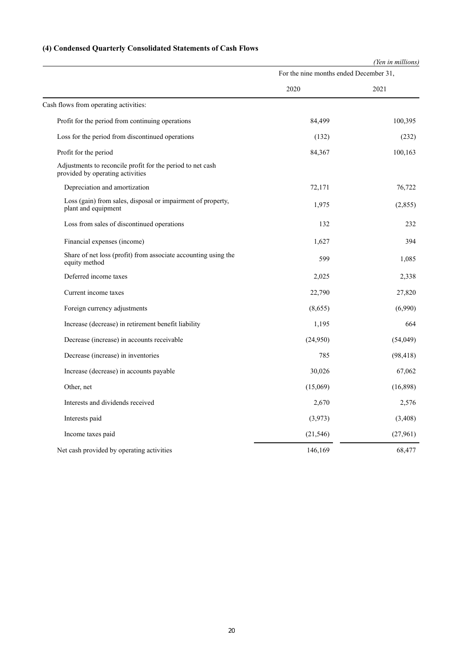# **(4) Condensed Quarterly Consolidated Statements of Cash Flows**

|                                                                                                | (Yen in millions)                      |           |  |  |
|------------------------------------------------------------------------------------------------|----------------------------------------|-----------|--|--|
|                                                                                                | For the nine months ended December 31, |           |  |  |
|                                                                                                | 2020                                   | 2021      |  |  |
| Cash flows from operating activities:                                                          |                                        |           |  |  |
| Profit for the period from continuing operations                                               | 84,499                                 | 100,395   |  |  |
| Loss for the period from discontinued operations                                               | (132)                                  | (232)     |  |  |
| Profit for the period                                                                          | 84,367                                 | 100,163   |  |  |
| Adjustments to reconcile profit for the period to net cash<br>provided by operating activities |                                        |           |  |  |
| Depreciation and amortization                                                                  | 72,171                                 | 76,722    |  |  |
| Loss (gain) from sales, disposal or impairment of property,<br>plant and equipment             | 1,975                                  | (2,855)   |  |  |
| Loss from sales of discontinued operations                                                     | 132                                    | 232       |  |  |
| Financial expenses (income)                                                                    | 1,627                                  | 394       |  |  |
| Share of net loss (profit) from associate accounting using the<br>equity method                | 599                                    | 1,085     |  |  |
| Deferred income taxes                                                                          | 2,025                                  | 2,338     |  |  |
| Current income taxes                                                                           | 22,790                                 | 27,820    |  |  |
| Foreign currency adjustments                                                                   | (8,655)                                | (6,990)   |  |  |
| Increase (decrease) in retirement benefit liability                                            | 1,195                                  | 664       |  |  |
| Decrease (increase) in accounts receivable                                                     | (24,950)                               | (54,049)  |  |  |
| Decrease (increase) in inventories                                                             | 785                                    | (98, 418) |  |  |
| Increase (decrease) in accounts payable                                                        | 30,026                                 | 67,062    |  |  |
| Other, net                                                                                     | (15,069)                               | (16,898)  |  |  |
| Interests and dividends received                                                               | 2,670                                  | 2,576     |  |  |
| Interests paid                                                                                 | (3,973)                                | (3,408)   |  |  |
| Income taxes paid                                                                              | (21, 546)                              | (27,961)  |  |  |
| Net cash provided by operating activities                                                      | 146,169                                | 68,477    |  |  |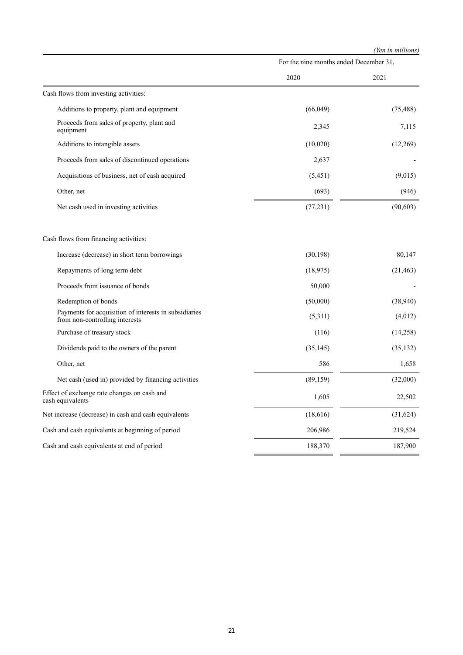| (Yen in millions) |
|-------------------|
|-------------------|

|                                                                                         | For the nine months ended December 31, |           |
|-----------------------------------------------------------------------------------------|----------------------------------------|-----------|
|                                                                                         | 2020                                   | 2021      |
| Cash flows from investing activities:                                                   |                                        |           |
| Additions to property, plant and equipment                                              | (66,049)                               | (75, 488) |
| Proceeds from sales of property, plant and<br>equipment                                 | 2,345                                  | 7,115     |
| Additions to intangible assets                                                          | (10,020)                               | (12,269)  |
| Proceeds from sales of discontinued operations                                          | 2,637                                  |           |
| Acquisitions of business, net of cash acquired                                          | (5,451)                                | (9,015)   |
| Other, net                                                                              | (693)                                  | (946)     |
| Net cash used in investing activities                                                   | (77, 231)                              | (90, 603) |
| Cash flows from financing activities:                                                   |                                        |           |
| Increase (decrease) in short term borrowings                                            | (30, 198)                              | 80,147    |
| Repayments of long term debt                                                            | (18, 975)                              | (21, 463) |
| Proceeds from issuance of bonds                                                         | 50,000                                 |           |
| Redemption of bonds                                                                     | (50,000)                               | (38,940)  |
| Payments for acquisition of interests in subsidiaries<br>from non-controlling interests | (5,311)                                | (4,012)   |
| Purchase of treasury stock                                                              | (116)                                  | (14,258)  |
| Dividends paid to the owners of the parent                                              | (35, 145)                              | (35, 132) |
| Other, net                                                                              | 586                                    | 1,658     |
| Net cash (used in) provided by financing activities                                     | (89, 159)                              | (32,000)  |
| Effect of exchange rate changes on cash and<br>cash equivalents                         | 1,605                                  | 22,502    |
| Net increase (decrease) in cash and cash equivalents                                    | (18,616)                               | (31,624)  |
| Cash and cash equivalents at beginning of period                                        | 206,986                                | 219,524   |
| Cash and cash equivalents at end of period                                              | 188,370                                | 187,900   |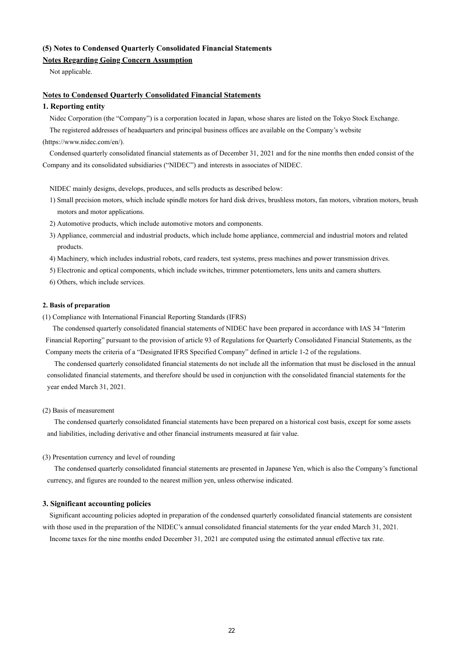## **(5) Notes to Condensed Quarterly Consolidated Financial Statements**

# **Notes Regarding Going Concern Assumption**

Not applicable.

#### **Notes to Condensed Quarterly Consolidated Financial Statements**

## **1. Reporting entity**

Nidec Corporation (the "Company") is a corporation located in Japan, whose shares are listed on the Tokyo Stock Exchange.

The registered addresses of headquarters and principal business offices are available on the Company's website (https://www.nidec.com/en/).

Condensed quarterly consolidated financial statements as of December 31, 2021 and for the nine months then ended consist of the Company and its consolidated subsidiaries ("NIDEC") and interests in associates of NIDEC.

NIDEC mainly designs, develops, produces, and sells products as described below:

- 1) Small precision motors, which include spindle motors for hard disk drives, brushless motors, fan motors, vibration motors, brush motors and motor applications.
- 2) Automotive products, which include automotive motors and components.
- 3) Appliance, commercial and industrial products, which include home appliance, commercial and industrial motors and related products.
- 4) Machinery, which includes industrial robots, card readers, test systems, press machines and power transmission drives.
- 5) Electronic and optical components, which include switches, trimmer potentiometers, lens units and camera shutters.
- 6) Others, which include services.

#### **2. Basis of preparation**

(1) Compliance with International Financial Reporting Standards (IFRS)

The condensed quarterly consolidated financial statements of NIDEC have been prepared in accordance with IAS 34 "Interim Financial Reporting" pursuant to the provision of article 93 of Regulations for Quarterly Consolidated Financial Statements, as the Company meets the criteria of a "Designated IFRS Specified Company" defined in article 1-2 of the regulations.

The condensed quarterly consolidated financial statements do not include all the information that must be disclosed in the annual consolidated financial statements, and therefore should be used in conjunction with the consolidated financial statements for the year ended March 31, 2021.

#### (2) Basis of measurement

The condensed quarterly consolidated financial statements have been prepared on a historical cost basis, except for some assets and liabilities, including derivative and other financial instruments measured at fair value.

#### (3) Presentation currency and level of rounding

The condensed quarterly consolidated financial statements are presented in Japanese Yen, which is also the Company's functional currency, and figures are rounded to the nearest million yen, unless otherwise indicated.

#### **3. Significant accounting policies**

Significant accounting policies adopted in preparation of the condensed quarterly consolidated financial statements are consistent with those used in the preparation of the NIDEC's annual consolidated financial statements for the year ended March 31, 2021.

Income taxes for the nine months ended December 31, 2021 are computed using the estimated annual effective tax rate.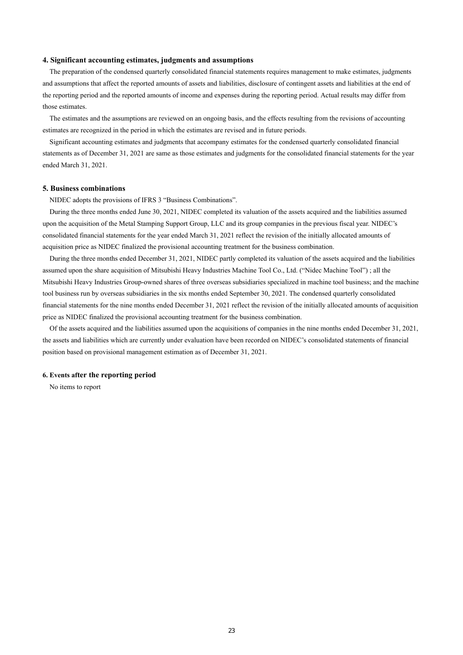#### **4. Significant accounting estimates, judgments and assumptions**

The preparation of the condensed quarterly consolidated financial statements requires management to make estimates, judgments and assumptions that affect the reported amounts of assets and liabilities, disclosure of contingent assets and liabilities at the end of the reporting period and the reported amounts of income and expenses during the reporting period. Actual results may differ from those estimates.

The estimates and the assumptions are reviewed on an ongoing basis, and the effects resulting from the revisions of accounting estimates are recognized in the period in which the estimates are revised and in future periods.

Significant accounting estimates and judgments that accompany estimates for the condensed quarterly consolidated financial statements as of December 31, 2021 are same as those estimates and judgments for the consolidated financial statements for the year ended March 31, 2021.

#### **5. Business combinations**

NIDEC adopts the provisions of IFRS 3 "Business Combinations".

During the three months ended June 30, 2021, NIDEC completed its valuation of the assets acquired and the liabilities assumed upon the acquisition of the Metal Stamping Support Group, LLC and its group companies in the previous fiscal year. NIDEC's consolidated financial statements for the year ended March 31, 2021 reflect the revision of the initially allocated amounts of acquisition price as NIDEC finalized the provisional accounting treatment for the business combination.

During the three months ended December 31, 2021, NIDEC partly completed its valuation of the assets acquired and the liabilities assumed upon the share acquisition of Mitsubishi Heavy Industries Machine Tool Co., Ltd. ("Nidec Machine Tool") ; all the Mitsubishi Heavy Industries Group-owned shares of three overseas subsidiaries specialized in machine tool business; and the machine tool business run by overseas subsidiaries in the six months ended September 30, 2021. The condensed quarterly consolidated financial statements for the nine months ended December 31, 2021 reflect the revision of the initially allocated amounts of acquisition price as NIDEC finalized the provisional accounting treatment for the business combination.

Of the assets acquired and the liabilities assumed upon the acquisitions of companies in the nine months ended December 31, 2021, the assets and liabilities which are currently under evaluation have been recorded on NIDEC's consolidated statements of financial position based on provisional management estimation as of December 31, 2021.

#### **6. Events after the reporting period**

No items to report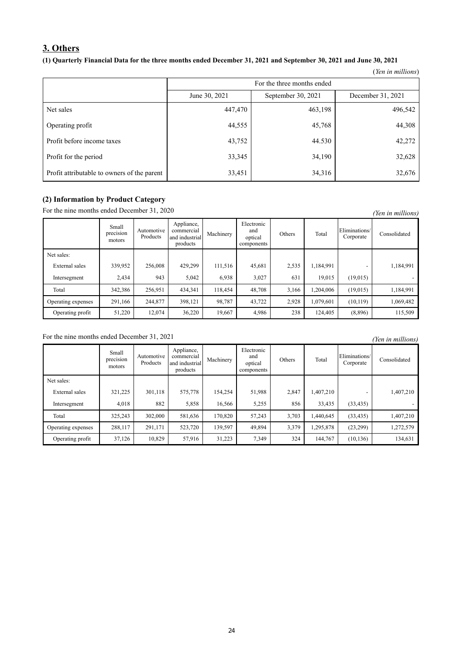# **3. Others**

## **(1) Quarterly Financial Data for the three months ended December 31, 2021 and September 30, 2021 and June 30, 2021**

|                                             |                            |                    | (Yen in millions) |  |  |  |  |
|---------------------------------------------|----------------------------|--------------------|-------------------|--|--|--|--|
|                                             | For the three months ended |                    |                   |  |  |  |  |
|                                             | June 30, 2021              | September 30, 2021 | December 31, 2021 |  |  |  |  |
| Net sales                                   | 447,470                    | 463,198            | 496,542           |  |  |  |  |
| Operating profit                            | 44,555                     | 45,768             | 44,308            |  |  |  |  |
| Profit before income taxes                  | 43,752                     | 44.530             | 42,272            |  |  |  |  |
| Profit for the period                       | 33,345                     | 34,190             | 32,628            |  |  |  |  |
| Profit attributable to owners of the parent | 33,451                     | 34,316             | 32,676            |  |  |  |  |

## **(2) Information by Product Category**

For the nine months ended December 31, 2020 *(Yen in millions)* 

|                    | Small<br>$\cdot$ $\cdot$<br>precision<br>motors | Automotive<br>Products | Appliance,<br>commercial<br>and industrial<br>products | Machinery | Electronic<br>and<br>optical<br>components | Others | Total     | Eliminations/<br>Corporate | Consolidated |
|--------------------|-------------------------------------------------|------------------------|--------------------------------------------------------|-----------|--------------------------------------------|--------|-----------|----------------------------|--------------|
| Net sales:         |                                                 |                        |                                                        |           |                                            |        |           |                            |              |
| External sales     | 339,952                                         | 256,008                | 429.299                                                | 111,516   | 45,681                                     | 2,535  | 1,184,991 |                            | 1,184,991    |
| Intersegment       | 2,434                                           | 943                    | 5,042                                                  | 6,938     | 3,027                                      | 631    | 19.015    | (19,015)                   |              |
| Total              | 342,386                                         | 256,951                | 434,341                                                | 118,454   | 48,708                                     | 3,166  | ,204,006  | (19,015)                   | 1,184,991    |
| Operating expenses | 291.166                                         | 244,877                | 398.121                                                | 98,787    | 43,722                                     | 2.928  | 1,079,601 | (10, 119)                  | 1,069,482    |
| Operating profit   | 51,220                                          | 12,074                 | 36.220                                                 | 19,667    | 4,986                                      | 238    | 124,405   | (8,896)                    | 115,509      |

For the nine months ended December 31, 2021 *(Yen in millions)* 

|                    | Small<br>precision<br>motors | Automotive<br>Products | Appliance,<br>commercial<br>and industrial<br>products | Machinery | Electronic<br>and<br>optical<br>components | Others | Total     | Eliminations/<br>Corporate | Consolidated |
|--------------------|------------------------------|------------------------|--------------------------------------------------------|-----------|--------------------------------------------|--------|-----------|----------------------------|--------------|
| Net sales:         |                              |                        |                                                        |           |                                            |        |           |                            |              |
| External sales     | 321,225                      | 301,118                | 575,778                                                | 154,254   | 51,988                                     | 2,847  | 1,407,210 |                            | 1,407,210    |
| Intersegment       | 4.018                        | 882                    | 5,858                                                  | 16.566    | 5,255                                      | 856    | 33,435    | (33, 435)                  |              |
| Total              | 325,243                      | 302,000                | 581,636                                                | 170,820   | 57,243                                     | 3,703  | 1,440,645 | (33, 435)                  | 1,407,210    |
| Operating expenses | 288,117                      | 291,171                | 523,720                                                | 139,597   | 49,894                                     | 3,379  | 1,295,878 | (23,299)                   | 1,272,579    |
| Operating profit   | 37,126                       | 10,829                 | 57,916                                                 | 31,223    | 7,349                                      | 324    | 144,767   | (10, 136)                  | 134,631      |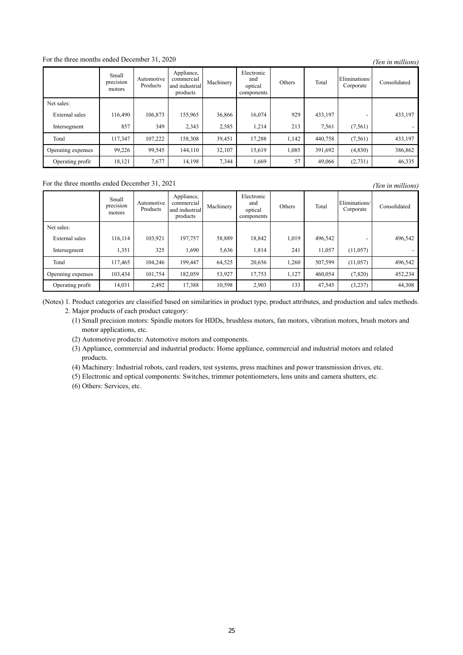# For the three months ended December 31, 2020 *(Yen in millions)*

|                    | Small<br>precision<br>motors | Automotive<br>Products | Appliance,<br>commercial<br>and industrial<br>products | Machinery | Electronic<br>and<br>optical<br>components | Others | Total   | Eliminations/<br>Corporate | Consolidated |
|--------------------|------------------------------|------------------------|--------------------------------------------------------|-----------|--------------------------------------------|--------|---------|----------------------------|--------------|
| Net sales:         |                              |                        |                                                        |           |                                            |        |         |                            |              |
| External sales     | 116,490                      | 106,873                | 155,965                                                | 36,866    | 16,074                                     | 929    | 433,197 |                            | 433,197      |
| Intersegment       | 857                          | 349                    | 2,343                                                  | 2,585     | 1,214                                      | 213    | 7,561   | (7, 561)                   |              |
| Total              | 117,347                      | 107,222                | 158,308                                                | 39,451    | 17,288                                     | 1,142  | 440,758 | (7,561)                    | 433,197      |
| Operating expenses | 99,226                       | 99,545                 | 144,110                                                | 32,107    | 15,619                                     | 1,085  | 391,692 | (4,830)                    | 386,862      |
| Operating profit   | 18,121                       | 7,677                  | 14,198                                                 | 7,344     | 1,669                                      | 57     | 49,066  | (2, 731)                   | 46,335       |

## For the three months ended December 31, 2021 *(Yen in millions)*

Small precision motors Automotive Products Appliance, commercial and industrial products Machinery Electronic and optical components Others Total Eliminations/ Corporate Consolidated Net sales: External sales 116,114 103,921 197,757 58,889 18,842 1,019 496,542 - 496,542 Intersegment | 1,351 325 1,690 5,636 1,814 241 11,057 (11,057) -Total 117,465 104,246 199,447 64,525 20,656 1,260 507,599 (11,057) 496,542 Operating expenses 103,434 101,754 182,059 53,927 17,753 1,127 460,054 (7,820) 452,234 Operating profit 14,031 2,492 17,388 10,598 2,903 133 47,545 (3,237) 44,308

(Notes) 1. Product categories are classified based on similarities in product type, product attributes, and production and sales methods. 2. Major products of each product category:

(1) Small precision motors: Spindle motors for HDDs, brushless motors, fan motors, vibration motors, brush motors and motor applications, etc.

(2) Automotive products: Automotive motors and components.

(3) Appliance, commercial and industrial products: Home appliance, commercial and industrial motors and related products.

(4) Machinery: Industrial robots, card readers, test systems, press machines and power transmission drives, etc.

(5) Electronic and optical components: Switches, trimmer potentiometers, lens units and camera shutters, etc.

(6) Others: Services, etc.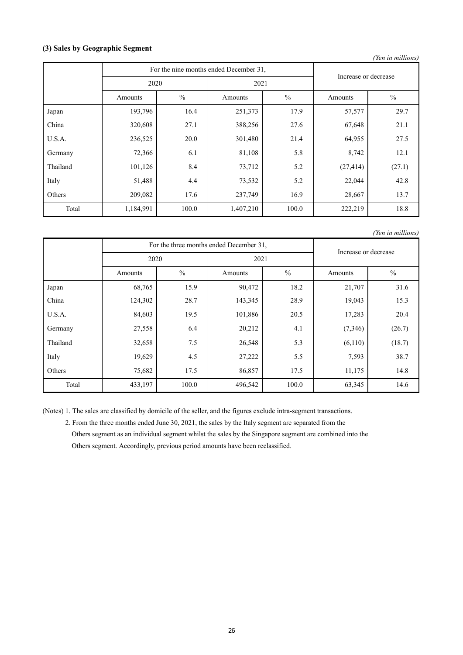## **(3) Sales by Geographic Segment**

| (Yen in millions) |                                        |                      |           |               |           |               |  |  |  |  |
|-------------------|----------------------------------------|----------------------|-----------|---------------|-----------|---------------|--|--|--|--|
|                   | For the nine months ended December 31, | Increase or decrease |           |               |           |               |  |  |  |  |
|                   | 2020                                   |                      | 2021      |               |           |               |  |  |  |  |
|                   | Amounts                                | $\frac{0}{0}$        | Amounts   | $\frac{0}{0}$ | Amounts   | $\frac{0}{0}$ |  |  |  |  |
| Japan             | 193,796                                | 16.4                 | 251,373   | 17.9          | 57,577    | 29.7          |  |  |  |  |
| China             | 320,608                                | 27.1                 | 388,256   | 27.6          | 67,648    | 21.1          |  |  |  |  |
| U.S.A.            | 236,525                                | 20.0                 | 301,480   | 21.4          | 64,955    | 27.5          |  |  |  |  |
| Germany           | 72,366                                 | 6.1                  | 81,108    | 5.8           | 8,742     | 12.1          |  |  |  |  |
| Thailand          | 101,126                                | 8.4                  | 73,712    | 5.2           | (27, 414) | (27.1)        |  |  |  |  |
| Italy             | 51,488                                 | 4.4                  | 73,532    | 5.2           | 22,044    | 42.8          |  |  |  |  |
| Others            | 209,082                                | 17.6                 | 237,749   | 16.9          | 28,667    | 13.7          |  |  |  |  |
| Total             | 1,184,991                              | 100.0                | 1,407,210 | 100.0         | 222,219   | 18.8          |  |  |  |  |

*(Yen in millions)*

|          |                          |       | For the three months ended December 31, |               |                      |               |  |
|----------|--------------------------|-------|-----------------------------------------|---------------|----------------------|---------------|--|
|          | 2020                     |       | 2021                                    |               | Increase or decrease |               |  |
|          | $\frac{0}{0}$<br>Amounts |       | Amounts                                 | $\frac{0}{0}$ |                      | $\frac{0}{0}$ |  |
| Japan    | 68,765                   | 15.9  | 90,472                                  | 18.2          | 21,707               | 31.6          |  |
| China    | 124,302                  | 28.7  | 143,345                                 | 28.9          | 19,043               | 15.3          |  |
| U.S.A.   | 84,603                   | 19.5  | 101,886                                 | 20.5          | 17,283               | 20.4          |  |
| Germany  | 27,558                   | 6.4   | 20,212                                  | 4.1           | (7,346)              | (26.7)        |  |
| Thailand | 32,658                   | 7.5   | 26,548                                  | 5.3           | (6,110)              | (18.7)        |  |
| Italy    | 19,629                   | 4.5   | 27,222                                  | 5.5           | 7,593                | 38.7          |  |
| Others   | 75,682                   | 17.5  | 86,857                                  | 17.5          | 11,175               | 14.8          |  |
| Total    | 433,197                  | 100.0 | 496,542                                 | 100.0         | 63,345               | 14.6          |  |

(Notes) 1. The sales are classified by domicile of the seller, and the figures exclude intra-segment transactions.

2. From the three months ended June 30, 2021, the sales by the Italy segment are separated from the

Others segment as an individual segment whilst the sales by the Singapore segment are combined into the Others segment. Accordingly, previous period amounts have been reclassified.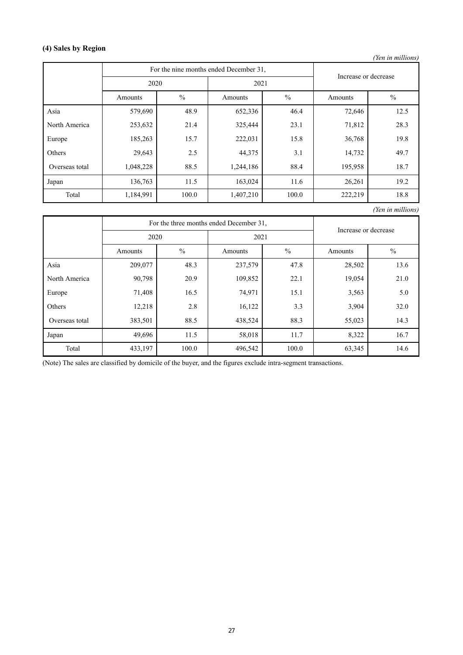# **(4) Sales by Region**

*(Yen in millions)*

|                |                          | For the nine months ended December 31, | Increase or decrease |               |         |               |  |
|----------------|--------------------------|----------------------------------------|----------------------|---------------|---------|---------------|--|
|                | 2020                     |                                        | 2021                 |               |         |               |  |
|                | $\frac{0}{0}$<br>Amounts |                                        | Amounts              | $\frac{0}{0}$ |         | $\frac{0}{0}$ |  |
| Asia           | 579,690                  | 48.9                                   | 652,336              | 46.4          | 72,646  | 12.5          |  |
| North America  | 253,632                  | 21.4                                   | 325,444              | 23.1          | 71,812  | 28.3          |  |
| Europe         | 185,263                  | 15.7                                   | 222,031              | 15.8          | 36,768  | 19.8          |  |
| Others         | 29,643                   | 2.5                                    | 44,375               | 3.1           | 14,732  | 49.7          |  |
| Overseas total | 1,048,228                | 88.5                                   | 1,244,186            | 88.4          | 195,958 | 18.7          |  |
| Japan          | 136,763                  | 11.5                                   | 163,024              | 11.6          | 26,261  | 19.2          |  |
| Total          | 1,184,991                | 100.0                                  | 1,407,210            | 100.0         | 222,219 | 18.8          |  |

*(Yen in millions)*

|                |                          |       | For the three months ended December 31, | Increase or decrease |        |               |
|----------------|--------------------------|-------|-----------------------------------------|----------------------|--------|---------------|
|                | 2020                     |       | 2021                                    |                      |        |               |
|                | $\frac{0}{0}$<br>Amounts |       | Amounts                                 | $\frac{0}{0}$        |        | $\frac{0}{0}$ |
| Asia           | 209,077                  | 48.3  | 237,579                                 | 47.8                 | 28,502 | 13.6          |
| North America  | 90,798                   | 20.9  | 109,852                                 | 22.1                 | 19,054 | 21.0          |
| Europe         | 71,408                   | 16.5  | 74,971                                  | 15.1                 | 3,563  | 5.0           |
| Others         | 12,218                   | 2.8   | 16,122                                  | 3.3                  | 3,904  | 32.0          |
| Overseas total | 383,501                  | 88.5  | 438,524                                 | 88.3                 | 55,023 | 14.3          |
| Japan          | 49,696                   | 11.5  | 58,018                                  | 11.7                 | 8,322  | 16.7          |
| Total          | 433,197                  | 100.0 | 496,542                                 | 100.0                | 63,345 | 14.6          |

(Note) The sales are classified by domicile of the buyer, and the figures exclude intra-segment transactions.